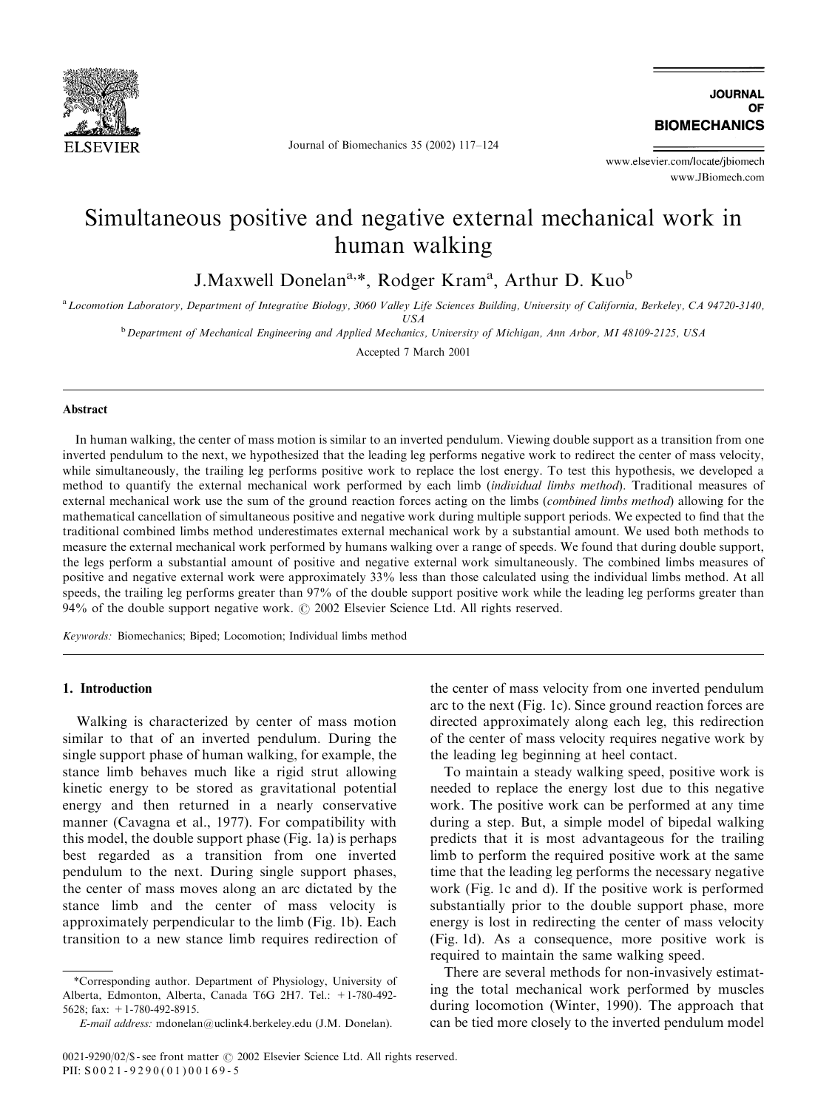

Journal of Biomechanics 35 (2002) 117–124

**JOURNAL** OF **BIOMECHANICS** 

www.elsevier.com/locate/jbiomech www.JBiomech.com

# Simultaneous positive and negative external mechanical work in human walking

J.Maxwell Donelan<sup>a,\*</sup>, Rodger Kram<sup>a</sup>, Arthur D. Kuo<sup>b</sup>

<sup>a</sup> Locomotion Laboratory, Department of Integrative Biology, 3060 Valley Life Sciences Building, University of California, Berkeley, CA 94720-3140,

USA

<sup>b</sup> Department of Mechanical Engineering and Applied Mechanics, University of Michigan, Ann Arbor, MI 48109-2125, USA

Accepted 7 March 2001

#### Abstract

In human walking, the center of mass motion is similar to an inverted pendulum. Viewing double support as a transition from one inverted pendulum to the next, we hypothesized that the leading leg performs negative work to redirect the center of mass velocity, while simultaneously, the trailing leg performs positive work to replace the lost energy. To test this hypothesis, we developed a method to quantify the external mechanical work performed by each limb (individual limbs method). Traditional measures of external mechanical work use the sum of the ground reaction forces acting on the limbs (combined limbs method) allowing for the mathematical cancellation of simultaneous positive and negative work during multiple support periods. We expected to find that the traditional combined limbs method underestimates external mechanical work by a substantial amount. We used both methods to measure the external mechanical work performed by humans walking over a range of speeds. We found that during double support, the legs perform a substantial amount of positive and negative external work simultaneously. The combined limbs measures of positive and negative external work were approximately 33% less than those calculated using the individual limbs method. At all speeds, the trailing leg performs greater than 97% of the double support positive work while the leading leg performs greater than 94% of the double support negative work.  $\odot$  2002 Elsevier Science Ltd. All rights reserved.

Keywords: Biomechanics; Biped; Locomotion; Individual limbs method

## 1. Introduction

Walking is characterized by center of mass motion similar to that of an inverted pendulum. During the single support phase of human walking, for example, the stance limb behaves much like a rigid strut allowing kinetic energy to be stored as gravitational potential energy and then returned in a nearly conservative manner (Cavagna et al., 1977). For compatibility with this model, the double support phase (Fig. 1a) is perhaps best regarded as a transition from one inverted pendulum to the next. During single support phases, the center of mass moves along an arc dictated by the stance limb and the center of mass velocity is approximately perpendicular to the limb (Fig. 1b). Each transition to a new stance limb requires redirection of the center of mass velocity from one inverted pendulum arc to the next (Fig. 1c). Since ground reaction forces are directed approximately along each leg, this redirection of the center of mass velocity requires negative work by the leading leg beginning at heel contact.

To maintain a steady walking speed, positive work is needed to replace the energy lost due to this negative work. The positive work can be performed at any time during a step. But, a simple model of bipedal walking predicts that it is most advantageous for the trailing limb to perform the required positive work at the same time that the leading leg performs the necessary negative work (Fig. 1c and d). If the positive work is performed substantially prior to the double support phase, more energy is lost in redirecting the center of mass velocity (Fig. 1d). As a consequence, more positive work is required to maintain the same walking speed.

There are several methods for non-invasively estimating the total mechanical work performed by muscles during locomotion (Winter, 1990). The approach that can be tied more closely to the inverted pendulum model

<sup>\*</sup>Corresponding author. Department of Physiology, University of Alberta, Edmonton, Alberta, Canada T6G 2H7. Tel.: +1-780-492- 5628; fax: +1-780-492-8915.

E-mail address: mdonelan@uclink4.berkeley.edu (J.M. Donelan).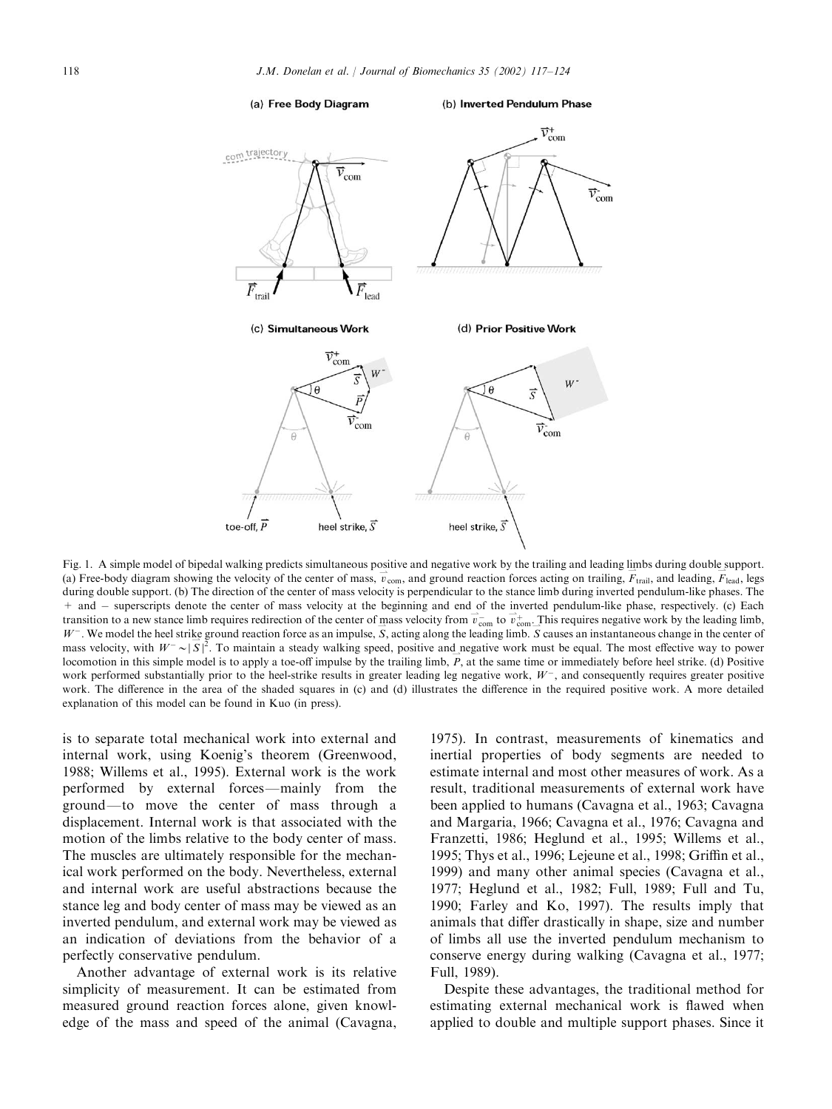

Fig. 1. A simple model of bipedal walking predicts simultaneous positive and negative work by the trailing and leading limbs during double support. , , (a) Free-body diagram showing the velocity of the center of mass,  $\vec{v}_{\text{com}}$ , and ground reaction forces acting on trailing,  $\vec{F}_{\text{trail}}$ , and leading,  $\vec{F}_{\text{lead}}$ , legs during double support. (b) The direction of the center of mass velocity is perpendicular to the stance limb during inverted pendulum-like phases. The + and – superscripts denote the center of mass velocity at the beginning and end of the inverted pendulum-like phase, respectively. (c) Each transition to a new stance limb requires redirection of the center of mass velocity from  $\vec{v}_{\text{com}}$  to  $\vec{v}_{\text{com}}^+$ . This requires negative work by the leading limb,  $W^-$ . We model the heel strike ground reaction force as an impulse, S, acting along the leading limb. S causes an instantaneous change in the center of mass velocity, with  $W^- \sim |S|^2$ . To maintain a steady walking speed, positive and negative work must be equal. The most effective way to power locomotion in this simple model is to apply a toe-off impulse by the trailing limb, P, at the same time or immediately before heel strike. (d) Positive work performed substantially prior to the heel-strike results in greater leading leg negative work,  $W^-$ , and consequently requires greater positive work. The difference in the area of the shaded squares in (c) and (d) illustrates the difference in the required positive work. A more detailed explanation of this model can be found in Kuo (in press).

is to separate total mechanical work into external and internal work, using Koenig's theorem (Greenwood, 1988; Willems et al., 1995). External work is the work performed by external forces—mainly from the  $ground$ —to move the center of mass through a displacement. Internal work is that associated with the motion of the limbs relative to the body center of mass. The muscles are ultimately responsible for the mechanical work performed on the body. Nevertheless, external and internal work are useful abstractions because the stance leg and body center of mass may be viewed as an inverted pendulum, and external work may be viewed as an indication of deviations from the behavior of a perfectly conservative pendulum.

Another advantage of external work is its relative simplicity of measurement. It can be estimated from measured ground reaction forces alone, given knowledge of the mass and speed of the animal (Cavagna,

1975). In contrast, measurements of kinematics and inertial properties of body segments are needed to estimate internal and most other measures of work. As a result, traditional measurements of external work have been applied to humans (Cavagna et al., 1963; Cavagna and Margaria, 1966; Cavagna et al., 1976; Cavagna and Franzetti, 1986; Heglund et al., 1995; Willems et al., 1995; Thys et al., 1996; Lejeune et al., 1998; Griffin et al., 1999) and many other animal species (Cavagna et al., 1977; Heglund et al., 1982; Full, 1989; Full and Tu, 1990; Farley and Ko, 1997). The results imply that animals that differ drastically in shape, size and number of limbs all use the inverted pendulum mechanism to conserve energy during walking (Cavagna et al., 1977; Full, 1989).

Despite these advantages, the traditional method for estimating external mechanical work is flawed when applied to double and multiple support phases. Since it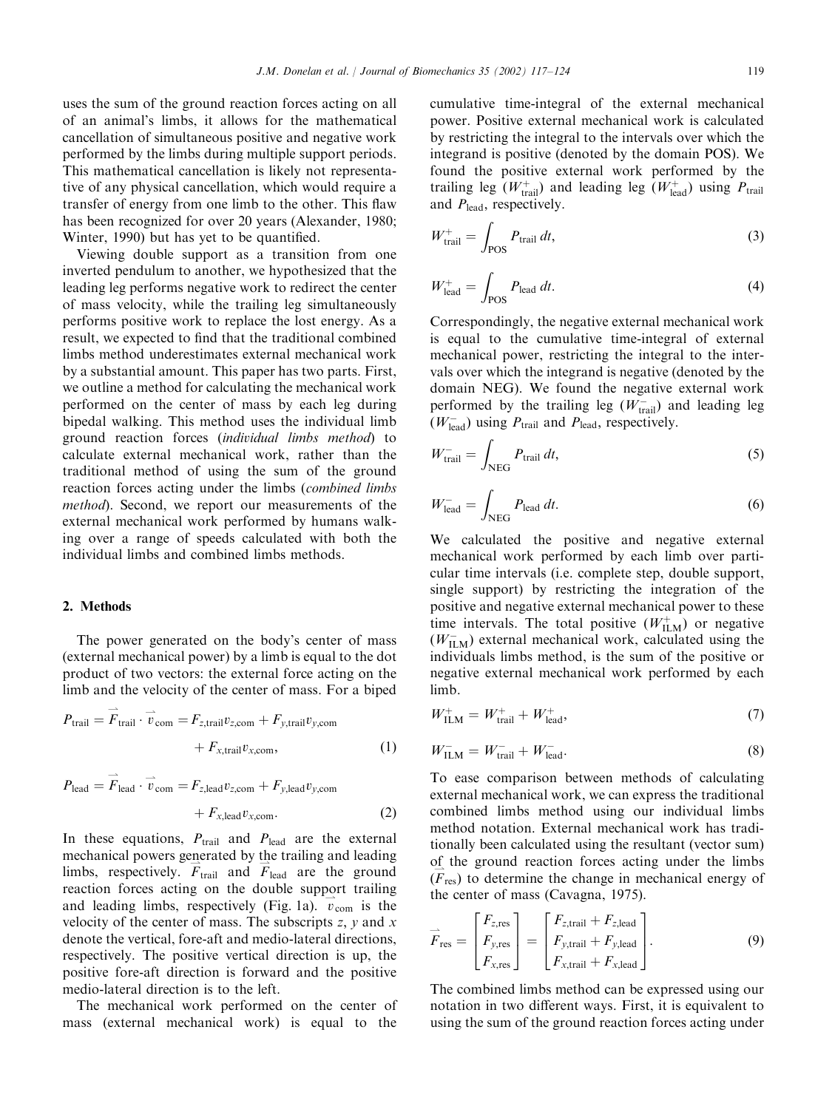uses the sum of the ground reaction forces acting on all of an animal's limbs, it allows for the mathematical cancellation of simultaneous positive and negative work performed by the limbs during multiple support periods. This mathematical cancellation is likely not representative of any physical cancellation, which would require a transfer of energy from one limb to the other. This flaw has been recognized for over 20 years (Alexander, 1980; Winter, 1990) but has yet to be quantified.

Viewing double support as a transition from one inverted pendulum to another, we hypothesized that the leading leg performs negative work to redirect the center of mass velocity, while the trailing leg simultaneously performs positive work to replace the lost energy. As a result, we expected to find that the traditional combined limbs method underestimates external mechanical work by a substantial amount. This paper has two parts. First, we outline a method for calculating the mechanical work performed on the center of mass by each leg during bipedal walking. This method uses the individual limb ground reaction forces (individual limbs method) to calculate external mechanical work, rather than the traditional method of using the sum of the ground reaction forces acting under the limbs (combined limbs method). Second, we report our measurements of the external mechanical work performed by humans walking over a range of speeds calculated with both the individual limbs and combined limbs methods.

## 2. Methods

The power generated on the body's center of mass (external mechanical power) by a limb is equal to the dot product of two vectors: the external force acting on the limb and the velocity of the center of mass. For a biped

$$
P_{\text{trail}} = \overrightarrow{F}_{\text{trail}} \cdot \overrightarrow{v}_{\text{com}} = F_{z,\text{trail}} v_{z,\text{com}} + F_{y,\text{trail}} v_{y,\text{com}} + F_{x,\text{trail}} v_{x,\text{com}},
$$
\n(1)

$$
P_{\text{lead}} = \overrightarrow{F}_{\text{lead}} \cdot \overrightarrow{v}_{\text{com}} = F_{z,\text{lead}} v_{z,\text{com}} + F_{y,\text{lead}} v_{y,\text{com}} + F_{x,\text{lead}} v_{x,\text{com}}.
$$
\n(2)

In these equations,  $P_{\text{trail}}$  and  $P_{\text{lead}}$  are the external mechanical powers generated by the trailing and leading limbs, respectively.  $F_{\text{trail}}$  and  $F_{\text{lead}}$  are the ground reaction forces acting on the double support trailing and leading limbs, respectively (Fig. 1a).  $\overrightarrow{v}_{com}$  is the velocity of the center of mass. The subscripts  $z$ ,  $y$  and  $x$ denote the vertical, fore-aft and medio-lateral directions, respectively. The positive vertical direction is up, the positive fore-aft direction is forward and the positive medio-lateral direction is to the left.

The mechanical work performed on the center of mass (external mechanical work) is equal to the

cumulative time-integral of the external mechanical power. Positive external mechanical work is calculated by restricting the integral to the intervals over which the integrand is positive (denoted by the domain POS). We found the positive external work performed by the trailing leg ( $W_{\text{trail}}^+$ ) and leading leg ( $W_{\text{lead}}^+$ ) using  $P_{\text{trail}}$ and  $P_{\text{lead}}$ , respectively.

$$
W_{\text{trail}}^{+} = \int_{\text{POS}} P_{\text{trail}} \, dt,\tag{3}
$$

$$
W_{\text{lead}}^+ = \int_{\text{POS}} P_{\text{lead}} \, dt. \tag{4}
$$

Correspondingly, the negative external mechanical work is equal to the cumulative time-integral of external mechanical power, restricting the integral to the intervals over which the integrand is negative (denoted by the domain NEG). We found the negative external work performed by the trailing leg  $(W_{\text{trail}}^-)$  and leading leg  $(W_{\text{lead}}^-)$  using  $P_{\text{trail}}$  and  $P_{\text{lead}}$ , respectively.

$$
W_{\text{trail}}^- = \int_{\text{NEG}} P_{\text{trail}} \, dt,\tag{5}
$$

$$
W_{\text{lead}}^- = \int_{\text{NEG}} P_{\text{lead}} \, dt. \tag{6}
$$

We calculated the positive and negative external mechanical work performed by each limb over particular time intervals (i.e. complete step, double support, single support) by restricting the integration of the positive and negative external mechanical power to these time intervals. The total positive  $(W<sub>ILM</sub><sup>+</sup>)$  or negative  $(W^{-}_{\text{ILM}})$  external mechanical work, calculated using the individuals limbs method, is the sum of the positive or negative external mechanical work performed by each limb.

$$
W_{\text{ILM}}^+ = W_{\text{trail}}^+ + W_{\text{lead}}^+, \tag{7}
$$

$$
W_{\text{ILM}}^- = W_{\text{trail}}^- + W_{\text{lead}}^- \tag{8}
$$

To ease comparison between methods of calculating external mechanical work, we can express the traditional combined limbs method using our individual limbs method notation. External mechanical work has traditionally been calculated using the resultant (vector sum) of the ground reaction forces acting under the limbs  $\overline{(F_{\text{res}})}$  to determine the change in mechanical energy of the center of mass (Cavagna, 1975).

$$
\overrightarrow{F}_{\text{res}} = \begin{bmatrix} F_{z,\text{res}} \\ F_{y,\text{res}} \\ F_{x,\text{res}} \end{bmatrix} = \begin{bmatrix} F_{z,\text{trail}} + F_{z,\text{lead}} \\ F_{y,\text{trail}} + F_{y,\text{lead}} \\ F_{x,\text{train}} + F_{x,\text{lead}} \end{bmatrix} . \tag{9}
$$

The combined limbs method can be expressed using our notation in two different ways. First, it is equivalent to using the sum of the ground reaction forces acting under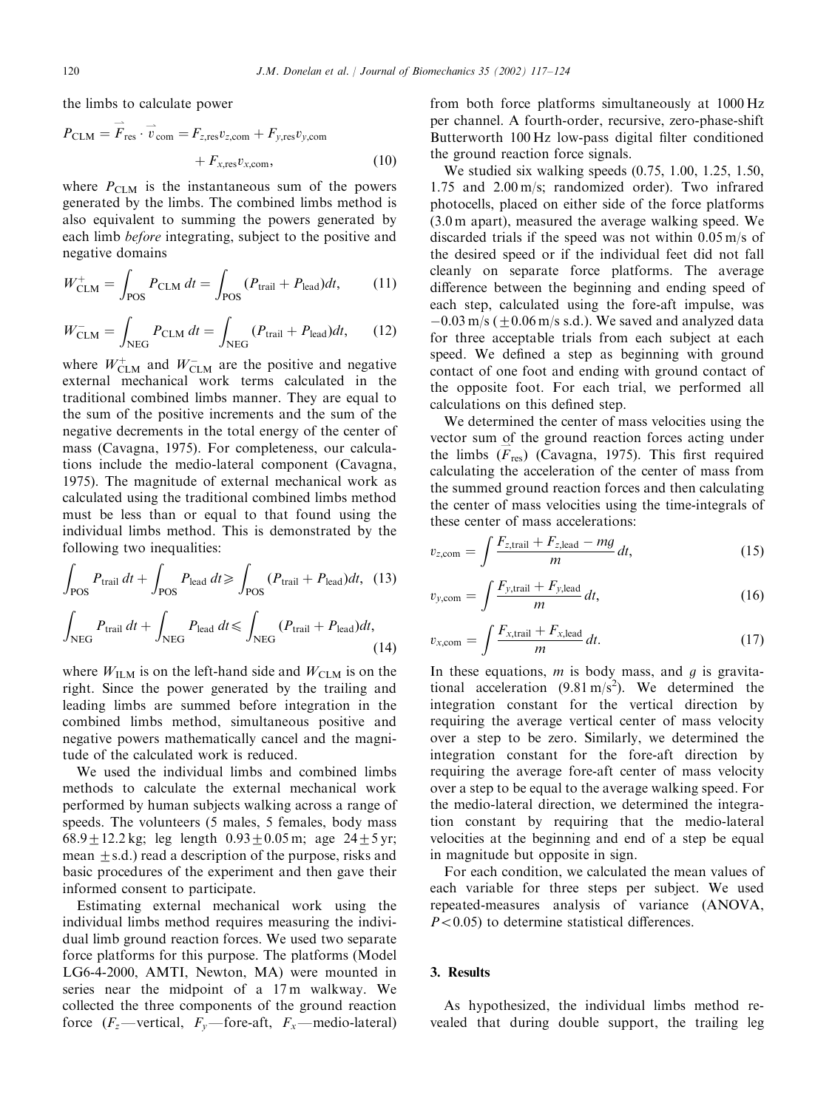the limbs to calculate power

$$
P_{\text{CLM}} = \overrightarrow{F}_{\text{res}} \cdot \overrightarrow{v}_{\text{com}} = F_{z,\text{res}} v_{z,\text{com}} + F_{y,\text{res}} v_{y,\text{com}} + F_{x,\text{res}} v_{x,\text{com}},
$$
(10)

where  $P_{CLM}$  is the instantaneous sum of the powers generated by the limbs. The combined limbs method is also equivalent to summing the powers generated by each limb *before* integrating, subject to the positive and negative domains

$$
W_{\text{CLM}}^{+} = \int_{\text{POS}} P_{\text{CLM}} \, dt = \int_{\text{POS}} \left( P_{\text{trail}} + P_{\text{lead}} \right) dt, \tag{11}
$$

$$
W_{\text{CLM}}^{-} = \int_{\text{NEG}} P_{\text{CLM}} dt = \int_{\text{NEG}} (P_{\text{trail}} + P_{\text{lead}}) dt, \qquad (12)
$$

where  $W_{\text{CLM}}^+$  and  $W_{\text{CLM}}^-$  are the positive and negative external mechanical work terms calculated in the traditional combined limbs manner. They are equal to the sum of the positive increments and the sum of the negative decrements in the total energy of the center of mass (Cavagna, 1975). For completeness, our calculations include the medio-lateral component (Cavagna, 1975). The magnitude of external mechanical work as calculated using the traditional combined limbs method must be less than or equal to that found using the individual limbs method. This is demonstrated by the following two inequalities:

$$
\int_{\text{POS}} P_{\text{trail}} \, dt + \int_{\text{POS}} P_{\text{lead}} \, dt \ge \int_{\text{POS}} (P_{\text{trail}} + P_{\text{lead}}) dt, \tag{13}
$$
\n
$$
\int_{\text{NEG}} P_{\text{trail}} \, dt + \int_{\text{NEG}} P_{\text{lead}} \, dt \le \int_{\text{NEG}} (P_{\text{trail}} + P_{\text{lead}}) dt, \tag{14}
$$

where  $W_{\text{ILM}}$  is on the left-hand side and  $W_{\text{CLM}}$  is on the right. Since the power generated by the trailing and leading limbs are summed before integration in the combined limbs method, simultaneous positive and negative powers mathematically cancel and the magnitude of the calculated work is reduced.

We used the individual limbs and combined limbs methods to calculate the external mechanical work performed by human subjects walking across a range of speeds. The volunteers (5 males, 5 females, body mass 68.9 $\pm$ 12.2 kg; leg length 0.93 $\pm$ 0.05 m; age 24 $\pm$ 5 yr; mean  $\pm$  s.d.) read a description of the purpose, risks and basic procedures of the experiment and then gave their informed consent to participate.

Estimating external mechanical work using the individual limbs method requires measuring the individual limb ground reaction forces. We used two separate force platforms for this purpose. The platforms (Model LG6-4-2000, AMTI, Newton, MA) were mounted in series near the midpoint of a 17 m walkway. We collected the three components of the ground reaction force  $(F_z$ —vertical,  $F_y$ —fore-aft,  $F_x$ —medio-lateral)

from both force platforms simultaneously at 1000 Hz per channel. A fourth-order, recursive, zero-phase-shift Butterworth 100 Hz low-pass digital filter conditioned the ground reaction force signals.

We studied sixwalking speeds (0.75, 1.00, 1.25, 1.50, 1.75 and 2.00 m/s; randomized order). Two infrared photocells, placed on either side of the force platforms (3.0 m apart), measured the average walking speed. We discarded trials if the speed was not within 0.05 m/s of the desired speed or if the individual feet did not fall cleanly on separate force platforms. The average difference between the beginning and ending speed of each step, calculated using the fore-aft impulse, was  $-0.03$  m/s ( $\pm$ 0.06 m/s s.d.). We saved and analyzed data for three acceptable trials from each subject at each speed. We defined a step as beginning with ground contact of one foot and ending with ground contact of the opposite foot. For each trial, we performed all calculations on this defined step.

We determined the center of mass velocities using the vector sum  $of$  the ground reaction forces acting under the limbs  $(F_{res})$  (Cavagna, 1975). This first required calculating the acceleration of the center of mass from the summed ground reaction forces and then calculating the center of mass velocities using the time-integrals of these center of mass accelerations:

$$
v_{z,\text{com}} = \int \frac{F_{z,\text{trail}} + F_{z,\text{lead}} - mg}{m} dt,\tag{15}
$$

$$
v_{y,\text{com}} = \int \frac{F_{y,\text{trail}} + F_{y,\text{lead}}}{m} dt,
$$
 (16)

$$
v_{x,\text{com}} = \int \frac{F_{x,\text{trail}} + F_{x,\text{lead}}}{m} dt. \tag{17}
$$

In these equations,  $m$  is body mass, and  $g$  is gravitational acceleration  $(9.81 \text{ m/s}^2)$ . We determined the integration constant for the vertical direction by requiring the average vertical center of mass velocity over a step to be zero. Similarly, we determined the integration constant for the fore-aft direction by requiring the average fore-aft center of mass velocity over a step to be equal to the average walking speed. For the medio-lateral direction, we determined the integration constant by requiring that the medio-lateral velocities at the beginning and end of a step be equal in magnitude but opposite in sign.

For each condition, we calculated the mean values of each variable for three steps per subject. We used repeated-measures analysis of variance (ANOVA,  $P<0.05$ ) to determine statistical differences.

#### 3. Results

As hypothesized, the individual limbs method revealed that during double support, the trailing leg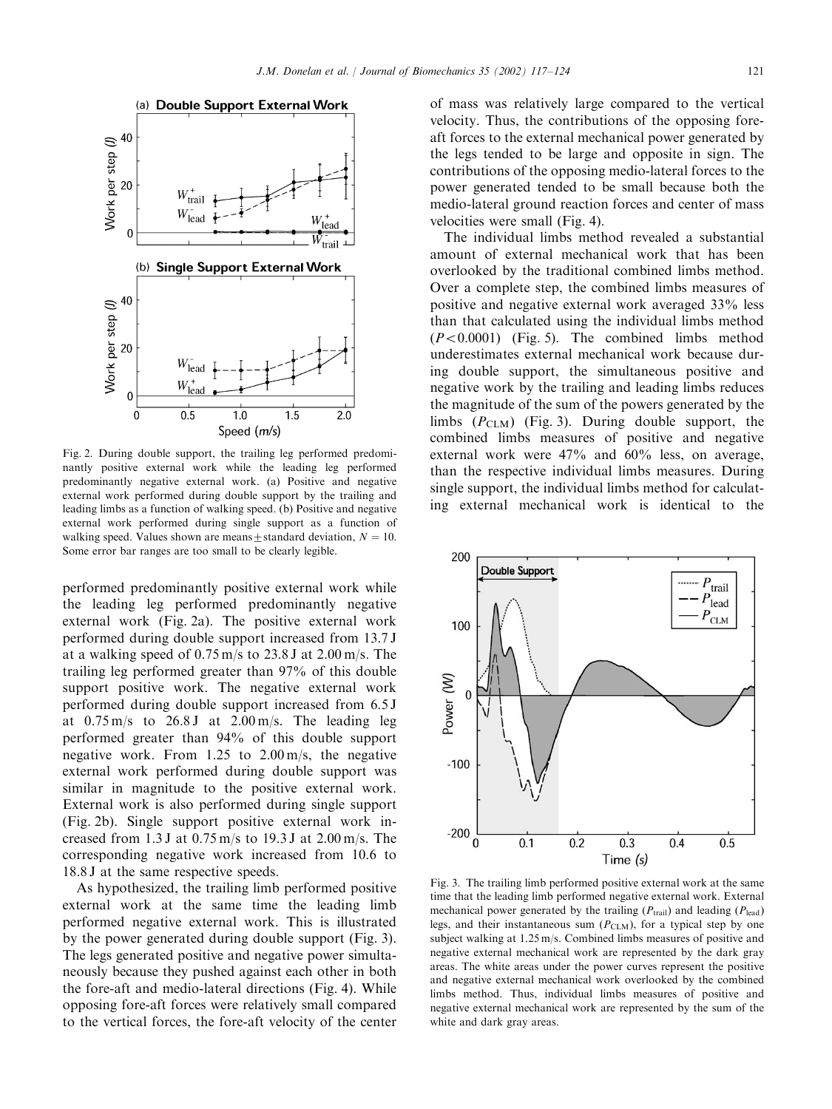

Fig. 2. During double support, the trailing leg performed predominantly positive external work while the leading leg performed predominantly negative external work. (a) Positive and negative external work performed during double support by the trailing and leading limbs as a function of walking speed. (b) Positive and negative external work performed during single support as a function of walking speed. Values shown are means  $\pm$  standard deviation,  $N = 10$ . Some error bar ranges are too small to be clearly legible.

performed predominantly positive external work while the leading leg performed predominantly negative external work (Fig. 2a). The positive external work performed during double support increased from 13.7 J at a walking speed of 0.75 m/s to 23.8 J at 2.00 m/s. The trailing leg performed greater than 97% of this double support positive work. The negative external work performed during double support increased from 6.5 J at  $0.75 \text{ m/s}$  to  $26.8 \text{ J}$  at  $2.00 \text{ m/s}$ . The leading leg performed greater than 94% of this double support negative work. From 1.25 to 2.00 m/s, the negative external work performed during double support was similar in magnitude to the positive external work. External work is also performed during single support (Fig. 2b). Single support positive external work increased from 1.3 J at 0.75 m/s to 19.3 J at 2.00 m/s. The corresponding negative work increased from 10.6 to 18.8 J at the same respective speeds.

As hypothesized, the trailing limb performed positive external work at the same time the leading limb performed negative external work. This is illustrated by the power generated during double support (Fig. 3). The legs generated positive and negative power simultaneously because they pushed against each other in both the fore-aft and medio-lateral directions (Fig. 4). While opposing fore-aft forces were relatively small compared to the vertical forces, the fore-aft velocity of the center of mass was relatively large compared to the vertical velocity. Thus, the contributions of the opposing foreaft forces to the external mechanical power generated by the legs tended to be large and opposite in sign. The contributions of the opposing medio-lateral forces to the power generated tended to be small because both the medio-lateral ground reaction forces and center of mass velocities were small (Fig. 4).

The individual limbs method revealed a substantial amount of external mechanical work that has been overlooked by the traditional combined limbs method. Over a complete step, the combined limbs measures of positive and negative external work averaged 33% less than that calculated using the individual limbs method  $(P<0.0001)$  (Fig. 5). The combined limbs method underestimates external mechanical work because during double support, the simultaneous positive and negative work by the trailing and leading limbs reduces the magnitude of the sum of the powers generated by the limbs  $(P_{CLM})$  (Fig. 3). During double support, the combined limbs measures of positive and negative external work were 47% and 60% less, on average, than the respective individual limbs measures. During single support, the individual limbs method for calculating external mechanical work is identical to the



Fig. 3. The trailing limb performed positive external work at the same time that the leading limb performed negative external work. External mechanical power generated by the trailing  $(P_{\text{trail}})$  and leading  $(P_{\text{lead}})$ legs, and their instantaneous sum  $(P_{CLM})$ , for a typical step by one subject walking at 1.25 m/s. Combined limbs measures of positive and negative external mechanical work are represented by the dark gray areas. The white areas under the power curves represent the positive and negative external mechanical work overlooked by the combined limbs method. Thus, individual limbs measures of positive and negative external mechanical work are represented by the sum of the white and dark gray areas.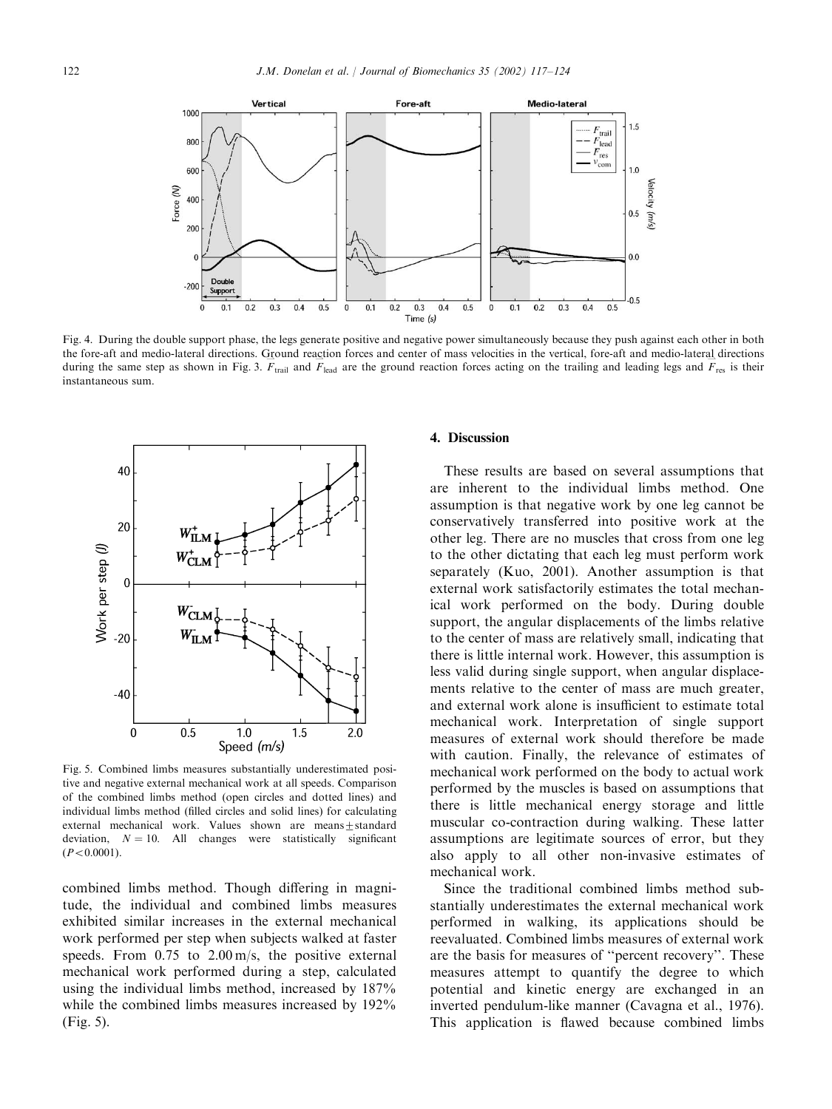

Fig. 4. During the double support phase, the legs generate positive and negative power simultaneously because they push against each other in both the fore-aft and medio-lateral directions. Ground reaction forces and center of mass velocities in the vertical, fore-aft and medio-lateral directions during the same step as shown in Fig. 3.  $F_{\text{train}}$  and  $F_{\text{lead}}$  are the ground reaction forces acting on the trailing and leading legs and  $F_{\text{res}}$  is their instantaneous sum.



Fig. 5. Combined limbs measures substantially underestimated positive and negative external mechanical work at all speeds. Comparison of the combined limbs method (open circles and dotted lines) and individual limbs method (filled circles and solid lines) for calculating external mechanical work. Values shown are means $\pm$ standard deviation,  $N = 10$ . All changes were statistically significant  $(P<0.0001)$ .

combined limbs method. Though differing in magnitude, the individual and combined limbs measures exhibited similar increases in the external mechanical work performed per step when subjects walked at faster speeds. From 0.75 to 2.00 m/s, the positive external mechanical work performed during a step, calculated using the individual limbs method, increased by 187% while the combined limbs measures increased by  $192\%$ (Fig. 5).

#### 4. Discussion

These results are based on several assumptions that are inherent to the individual limbs method. One assumption is that negative work by one leg cannot be conservatively transferred into positive work at the other leg. There are no muscles that cross from one leg to the other dictating that each leg must perform work separately (Kuo, 2001). Another assumption is that external work satisfactorily estimates the total mechanical work performed on the body. During double support, the angular displacements of the limbs relative to the center of mass are relatively small, indicating that there is little internal work. However, this assumption is less valid during single support, when angular displacements relative to the center of mass are much greater, and external work alone is insufficient to estimate total mechanical work. Interpretation of single support measures of external work should therefore be made with caution. Finally, the relevance of estimates of mechanical work performed on the body to actual work performed by the muscles is based on assumptions that there is little mechanical energy storage and little muscular co-contraction during walking. These latter assumptions are legitimate sources of error, but they also apply to all other non-invasive estimates of mechanical work.

Since the traditional combined limbs method substantially underestimates the external mechanical work performed in walking, its applications should be reevaluated. Combined limbs measures of external work are the basis for measures of ''percent recovery''. These measures attempt to quantify the degree to which potential and kinetic energy are exchanged in an inverted pendulum-like manner (Cavagna et al., 1976). This application is flawed because combined limbs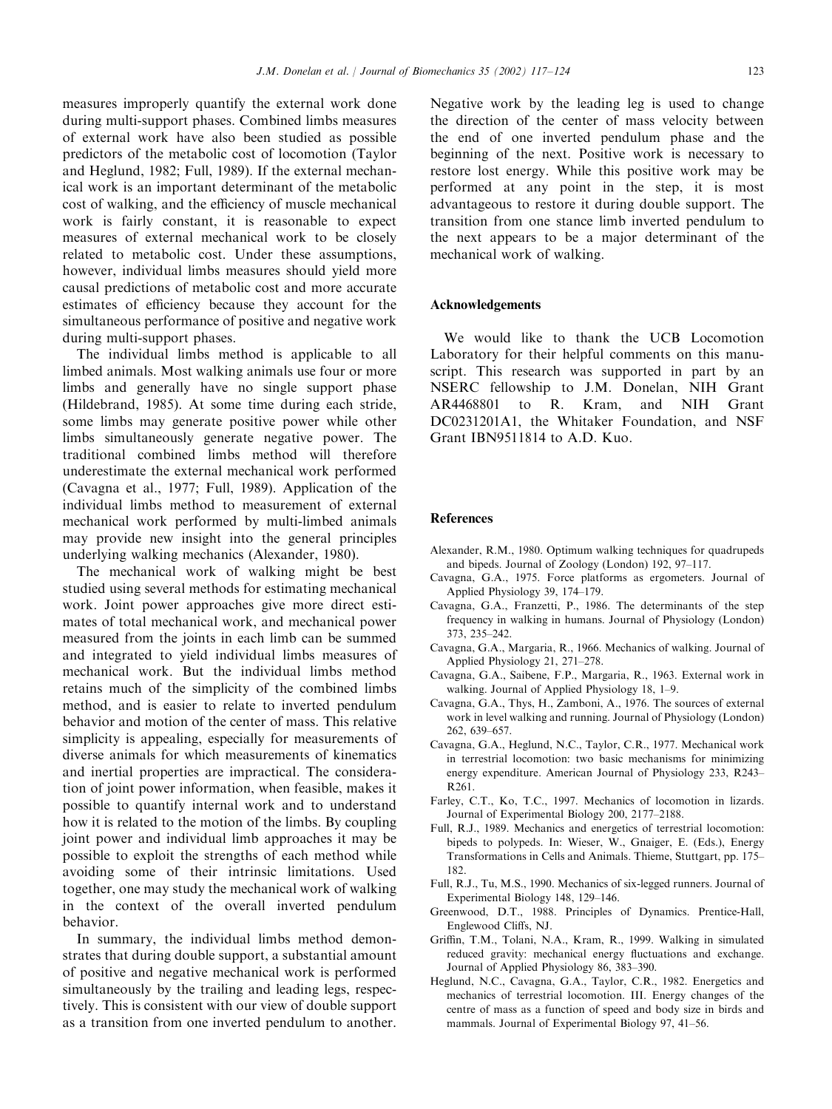measures improperly quantify the external work done during multi-support phases. Combined limbs measures of external work have also been studied as possible predictors of the metabolic cost of locomotion (Taylor and Heglund, 1982; Full, 1989). If the external mechanical work is an important determinant of the metabolic cost of walking, and the efficiency of muscle mechanical work is fairly constant, it is reasonable to expect measures of external mechanical work to be closely related to metabolic cost. Under these assumptions, however, individual limbs measures should yield more causal predictions of metabolic cost and more accurate estimates of efficiency because they account for the simultaneous performance of positive and negative work during multi-support phases.

The individual limbs method is applicable to all limbed animals. Most walking animals use four or more limbs and generally have no single support phase (Hildebrand, 1985). At some time during each stride, some limbs may generate positive power while other limbs simultaneously generate negative power. The traditional combined limbs method will therefore underestimate the external mechanical work performed (Cavagna et al., 1977; Full, 1989). Application of the individual limbs method to measurement of external mechanical work performed by multi-limbed animals may provide new insight into the general principles underlying walking mechanics (Alexander, 1980).

The mechanical work of walking might be best studied using several methods for estimating mechanical work. Joint power approaches give more direct estimates of total mechanical work, and mechanical power measured from the joints in each limb can be summed and integrated to yield individual limbs measures of mechanical work. But the individual limbs method retains much of the simplicity of the combined limbs method, and is easier to relate to inverted pendulum behavior and motion of the center of mass. This relative simplicity is appealing, especially for measurements of diverse animals for which measurements of kinematics and inertial properties are impractical. The consideration of joint power information, when feasible, makes it possible to quantify internal work and to understand how it is related to the motion of the limbs. By coupling joint power and individual limb approaches it may be possible to exploit the strengths of each method while avoiding some of their intrinsic limitations. Used together, one may study the mechanical work of walking in the context of the overall inverted pendulum behavior.

In summary, the individual limbs method demonstrates that during double support, a substantial amount of positive and negative mechanical work is performed simultaneously by the trailing and leading legs, respectively. This is consistent with our view of double support as a transition from one inverted pendulum to another.

Negative work by the leading leg is used to change the direction of the center of mass velocity between the end of one inverted pendulum phase and the beginning of the next. Positive work is necessary to restore lost energy. While this positive work may be performed at any point in the step, it is most advantageous to restore it during double support. The transition from one stance limb inverted pendulum to the next appears to be a major determinant of the mechanical work of walking.

#### Acknowledgements

We would like to thank the UCB Locomotion Laboratory for their helpful comments on this manuscript. This research was supported in part by an NSERC fellowship to J.M. Donelan, NIH Grant AR4468801 to R. Kram, and NIH Grant DC0231201A1, the Whitaker Foundation, and NSF Grant IBN9511814 to A.D. Kuo.

### References

- Alexander, R.M., 1980. Optimum walking techniques for quadrupeds and bipeds. Journal of Zoology (London) 192, 97–117.
- Cavagna, G.A., 1975. Force platforms as ergometers. Journal of Applied Physiology 39, 174–179.
- Cavagna, G.A., Franzetti, P., 1986. The determinants of the step frequency in walking in humans. Journal of Physiology (London) 373, 235–242.
- Cavagna, G.A., Margaria, R., 1966. Mechanics of walking. Journal of Applied Physiology 21, 271–278.
- Cavagna, G.A., Saibene, F.P., Margaria, R., 1963. External work in walking. Journal of Applied Physiology 18, 1–9.
- Cavagna, G.A., Thys, H., Zamboni, A., 1976. The sources of external work in level walking and running. Journal of Physiology (London) 262, 639–657.
- Cavagna, G.A., Heglund, N.C., Taylor, C.R., 1977. Mechanical work in terrestrial locomotion: two basic mechanisms for minimizing energy expenditure. American Journal of Physiology 233, R243– R261.
- Farley, C.T., Ko, T.C., 1997. Mechanics of locomotion in lizards. Journal of Experimental Biology 200, 2177–2188.
- Full, R.J., 1989. Mechanics and energetics of terrestrial locomotion: bipeds to polypeds. In: Wieser, W., Gnaiger, E. (Eds.), Energy Transformations in Cells and Animals. Thieme, Stuttgart, pp. 175– 182.
- Full, R.J., Tu, M.S., 1990. Mechanics of six-legged runners. Journal of Experimental Biology 148, 129–146.
- Greenwood, D.T., 1988. Principles of Dynamics. Prentice-Hall, Englewood Cliffs, NJ.
- Griffin, T.M., Tolani, N.A., Kram, R., 1999. Walking in simulated reduced gravity: mechanical energy fluctuations and exchange. Journal of Applied Physiology 86, 383–390.
- Heglund, N.C., Cavagna, G.A., Taylor, C.R., 1982. Energetics and mechanics of terrestrial locomotion. III. Energy changes of the centre of mass as a function of speed and body size in birds and mammals. Journal of Experimental Biology 97, 41–56.